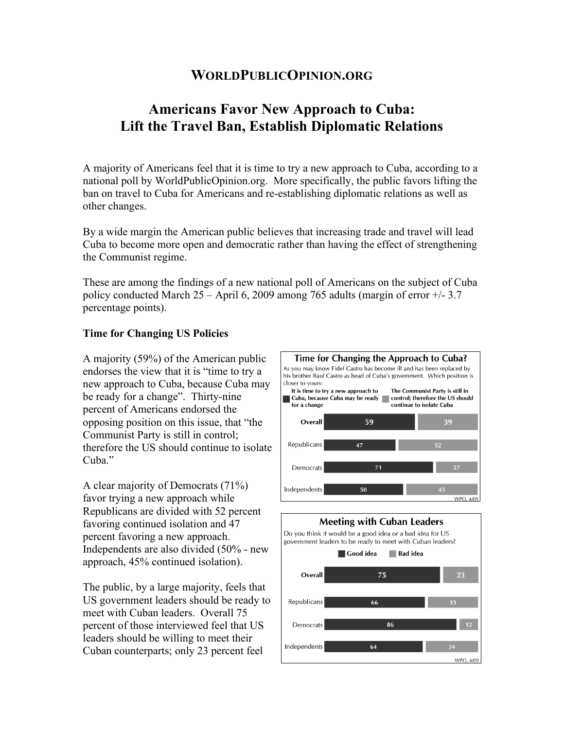# **WORLDPUBLICOPINION.ORG**

# **Americans Favor New Approach to Cuba: Lift the Travel Ban, Establish Diplomatic Relations**

A majority of Americans feel that it is time to try a new approach to Cuba, according to a national poll by WorldPublicOpinion.org. More specifically, the public favors lifting the ban on travel to Cuba for Americans and re-establishing diplomatic relations as well as other changes.

By a wide margin the American public believes that increasing trade and travel will lead Cuba to become more open and democratic rather than having the effect of strengthening the Communist regime.

These are among the findings of a new national poll of Americans on the subject of Cuba policy conducted March  $25 -$ April 6, 2009 among 765 adults (margin of error  $+/- 3.7$ percentage points).

#### **Time for Changing US Policies**

A majority (59%) of the American public endorses the view that it is "time to try a new approach to Cuba, because Cuba may be ready for a change". Thirty-nine percent of Americans endorsed the opposing position on this issue, that "the Communist Party is still in control; therefore the US should continue to isolate Cuba."

A clear majority of Democrats (71%) favor trying a new approach while Republicans are divided with 52 percent favoring continued isolation and 47 percent favoring a new approach. Independents are also divided (50% - new approach, 45% continued isolation).

The public, by a large majority, feels that US government leaders should be ready to meet with Cuban leaders. Overall 75 percent of those interviewed feel that US leaders should be willing to meet their Cuban counterparts; only 23 percent feel



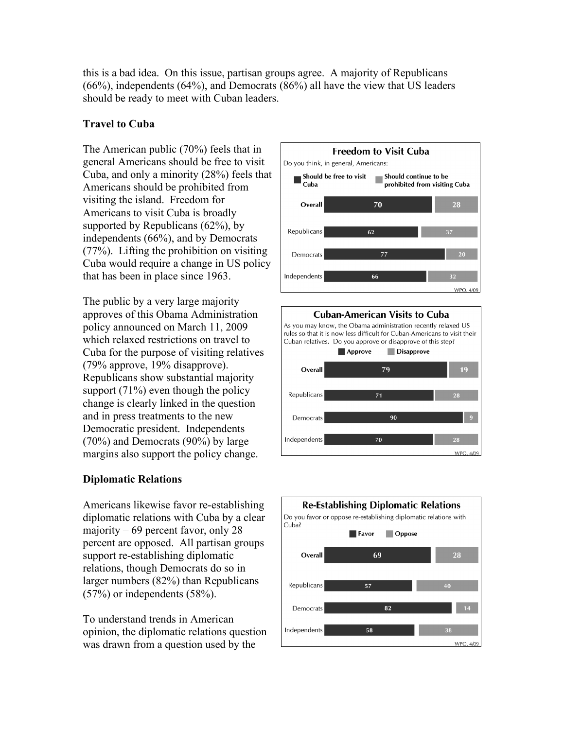this is a bad idea. On this issue, partisan groups agree. A majority of Republicans (66%), independents (64%), and Democrats (86%) all have the view that US leaders should be ready to meet with Cuban leaders.

### **Travel to Cuba**

The American public (70%) feels that in general Americans should be free to visit Cuba, and only a minority (28%) feels that Americans should be prohibited from visiting the island. Freedom for Americans to visit Cuba is broadly supported by Republicans (62%), by independents (66%), and by Democrats (77%). Lifting the prohibition on visiting Cuba would require a change in US policy that has been in place since 1963.

The public by a very large majority approves of this Obama Administration policy announced on March 11, 2009 which relaxed restrictions on travel to Cuba for the purpose of visiting relatives (79% approve, 19% disapprove). Republicans show substantial majority support  $(71\%)$  even though the policy change is clearly linked in the question and in press treatments to the new Democratic president. Independents (70%) and Democrats (90%) by large margins also support the policy change.

### **Diplomatic Relations**

Americans likewise favor re-establishing diplomatic relations with Cuba by a clear majority – 69 percent favor, only 28 percent are opposed. All partisan groups support re-establishing diplomatic relations, though Democrats do so in larger numbers (82%) than Republicans (57%) or independents (58%).

To understand trends in American opinion, the diplomatic relations question was drawn from a question used by the





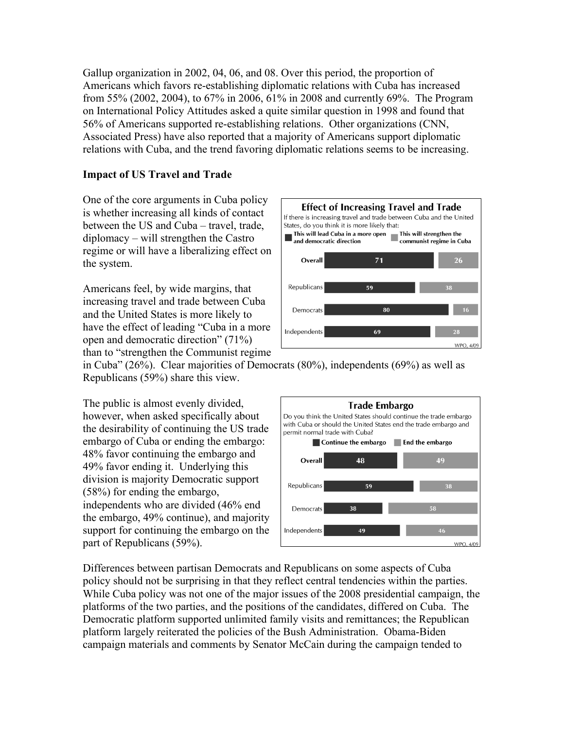Gallup organization in 2002, 04, 06, and 08. Over this period, the proportion of Americans which favors re-establishing diplomatic relations with Cuba has increased from 55% (2002, 2004), to 67% in 2006, 61% in 2008 and currently 69%. The Program on International Policy Attitudes asked a quite similar question in 1998 and found that 56% of Americans supported re-establishing relations. Other organizations (CNN, Associated Press) have also reported that a majority of Americans support diplomatic relations with Cuba, and the trend favoring diplomatic relations seems to be increasing.

### **Impact of US Travel and Trade**

One of the core arguments in Cuba policy is whether increasing all kinds of contact between the US and Cuba – travel, trade, diplomacy – will strengthen the Castro regime or will have a liberalizing effect on the system.

Americans feel, by wide margins, that increasing travel and trade between Cuba and the United States is more likely to have the effect of leading "Cuba in a more open and democratic direction" (71%) than to "strengthen the Communist regime



in Cuba" (26%). Clear majorities of Democrats (80%), independents (69%) as well as Republicans (59%) share this view.

The public is almost evenly divided, however, when asked specifically about the desirability of continuing the US trade embargo of Cuba or ending the embargo: 48% favor continuing the embargo and 49% favor ending it. Underlying this division is majority Democratic support (58%) for ending the embargo, independents who are divided (46% end the embargo, 49% continue), and majority support for continuing the embargo on the part of Republicans (59%).



Differences between partisan Democrats and Republicans on some aspects of Cuba policy should not be surprising in that they reflect central tendencies within the parties. While Cuba policy was not one of the major issues of the 2008 presidential campaign, the platforms of the two parties, and the positions of the candidates, differed on Cuba. The Democratic platform supported unlimited family visits and remittances; the Republican platform largely reiterated the policies of the Bush Administration. Obama-Biden campaign materials and comments by Senator McCain during the campaign tended to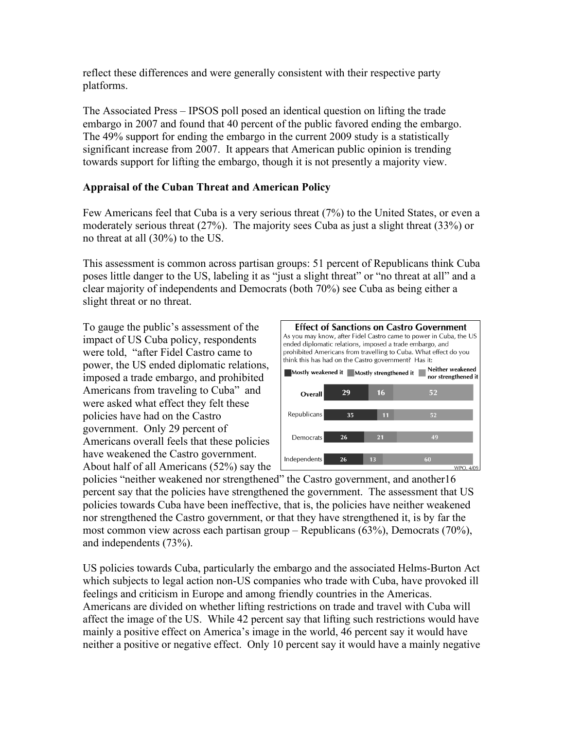reflect these differences and were generally consistent with their respective party platforms.

The Associated Press – IPSOS poll posed an identical question on lifting the trade embargo in 2007 and found that 40 percent of the public favored ending the embargo. The 49% support for ending the embargo in the current 2009 study is a statistically significant increase from 2007. It appears that American public opinion is trending towards support for lifting the embargo, though it is not presently a majority view.

#### **Appraisal of the Cuban Threat and American Policy**

Few Americans feel that Cuba is a very serious threat (7%) to the United States, or even a moderately serious threat (27%). The majority sees Cuba as just a slight threat (33%) or no threat at all (30%) to the US.

This assessment is common across partisan groups: 51 percent of Republicans think Cuba poses little danger to the US, labeling it as "just a slight threat" or "no threat at all" and a clear majority of independents and Democrats (both 70%) see Cuba as being either a slight threat or no threat.

To gauge the public's assessment of the impact of US Cuba policy, respondents were told, "after Fidel Castro came to power, the US ended diplomatic relations, imposed a trade embargo, and prohibited Americans from traveling to Cuba" and were asked what effect they felt these policies have had on the Castro government. Only 29 percent of Americans overall feels that these policies have weakened the Castro government. About half of all Americans (52%) say the



policies "neither weakened nor strengthened" the Castro government, and another16 percent say that the policies have strengthened the government. The assessment that US policies towards Cuba have been ineffective, that is, the policies have neither weakened nor strengthened the Castro government, or that they have strengthened it, is by far the most common view across each partisan group – Republicans (63%), Democrats (70%), and independents (73%).

US policies towards Cuba, particularly the embargo and the associated Helms-Burton Act which subjects to legal action non-US companies who trade with Cuba, have provoked ill feelings and criticism in Europe and among friendly countries in the Americas. Americans are divided on whether lifting restrictions on trade and travel with Cuba will affect the image of the US. While 42 percent say that lifting such restrictions would have mainly a positive effect on America's image in the world, 46 percent say it would have neither a positive or negative effect. Only 10 percent say it would have a mainly negative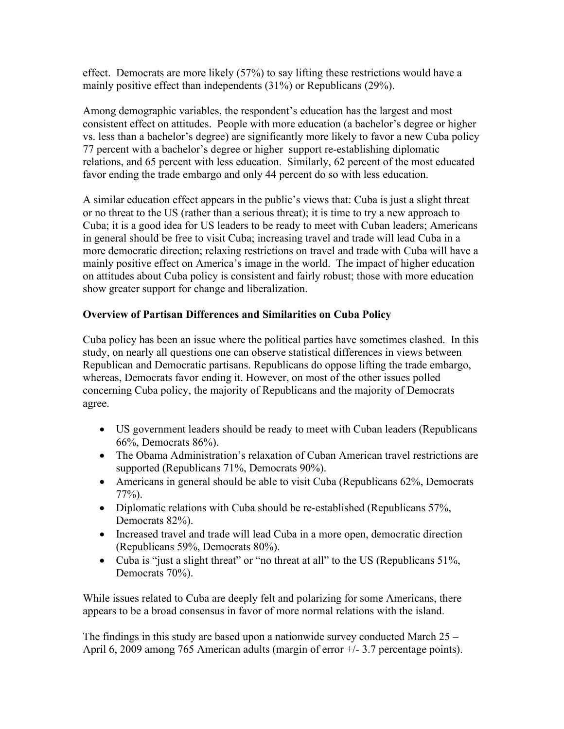effect. Democrats are more likely (57%) to say lifting these restrictions would have a mainly positive effect than independents (31%) or Republicans (29%).

Among demographic variables, the respondent's education has the largest and most consistent effect on attitudes. People with more education (a bachelor's degree or higher vs. less than a bachelor's degree) are significantly more likely to favor a new Cuba policy 77 percent with a bachelor's degree or higher support re-establishing diplomatic relations, and 65 percent with less education. Similarly, 62 percent of the most educated favor ending the trade embargo and only 44 percent do so with less education.

A similar education effect appears in the public's views that: Cuba is just a slight threat or no threat to the US (rather than a serious threat); it is time to try a new approach to Cuba; it is a good idea for US leaders to be ready to meet with Cuban leaders; Americans in general should be free to visit Cuba; increasing travel and trade will lead Cuba in a more democratic direction; relaxing restrictions on travel and trade with Cuba will have a mainly positive effect on America's image in the world. The impact of higher education on attitudes about Cuba policy is consistent and fairly robust; those with more education show greater support for change and liberalization.

## **Overview of Partisan Differences and Similarities on Cuba Policy**

Cuba policy has been an issue where the political parties have sometimes clashed. In this study, on nearly all questions one can observe statistical differences in views between Republican and Democratic partisans. Republicans do oppose lifting the trade embargo, whereas, Democrats favor ending it. However, on most of the other issues polled concerning Cuba policy, the majority of Republicans and the majority of Democrats agree.

- US government leaders should be ready to meet with Cuban leaders (Republicans 66%, Democrats 86%).
- The Obama Administration's relaxation of Cuban American travel restrictions are supported (Republicans 71%, Democrats 90%).
- Americans in general should be able to visit Cuba (Republicans 62%, Democrats 77%).
- Diplomatic relations with Cuba should be re-established (Republicans 57%, Democrats 82%).
- Increased travel and trade will lead Cuba in a more open, democratic direction (Republicans 59%, Democrats 80%).
- Cuba is "just a slight threat" or "no threat at all" to the US (Republicans 51%, Democrats 70%).

While issues related to Cuba are deeply felt and polarizing for some Americans, there appears to be a broad consensus in favor of more normal relations with the island.

The findings in this study are based upon a nationwide survey conducted March  $25 -$ April 6, 2009 among 765 American adults (margin of error +/- 3.7 percentage points).